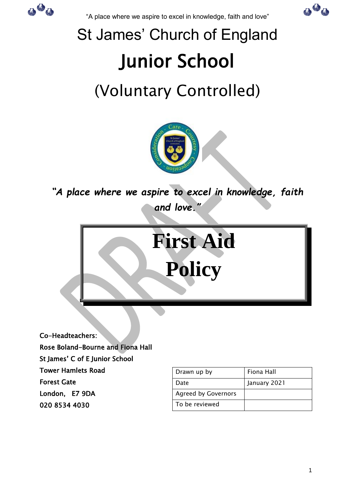



# St James' Church of England Junior School

### (Voluntary Controlled)



*"A place where we aspire to excel in knowledge, faith and love."*

## **First Aid Policy**

Co-Headteachers:

Rose Boland-Bourne and Fiona Hall

St James' C of E Junior School

Tower Hamlets Road

Forest Gate

London, E7 9DA

020 8534 4030

| Drawn up by                | Fiona Hall   |
|----------------------------|--------------|
| Date                       | January 2021 |
| <b>Agreed by Governors</b> |              |
| To be reviewed             |              |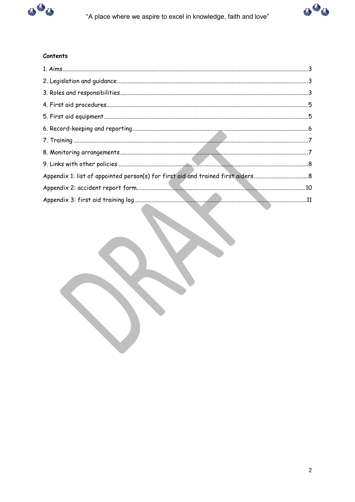



#### Contents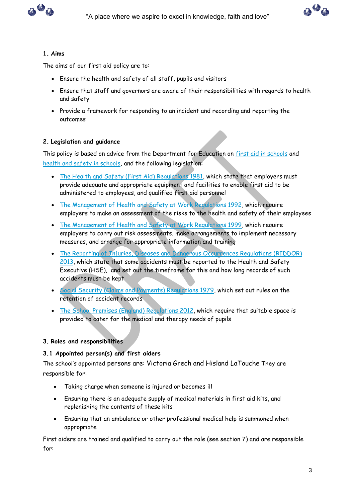



#### **1. Aims**

The aims of our first aid policy are to:

- Ensure the health and safety of all staff, pupils and visitors
- Ensure that staff and governors are aware of their responsibilities with regards to health and safety
- Provide a framework for responding to an incident and recording and reporting the outcomes

#### **2. Legislation and guidance**

This policy is based on advice from the Department for Education on [first aid in schools](https://www.gov.uk/government/publications/first-aid-in-schools) and [health and safety in schools,](https://www.gov.uk/government/publications/health-and-safety-advice-for-schools) and the following legislation:

- [The Health and Safety \(First Aid\) Regulations 1981,](http://www.legislation.gov.uk/uksi/1981/917/regulation/3/made) which state that employers must provide adequate and appropriate equipment and facilities to enable first aid to be administered to employees, and qualified first aid personnel
- [The Management of Health and Safety at Work Regulations 1992,](http://www.legislation.gov.uk/uksi/1992/2051/regulation/3/made) which require employers to make an assessment of the risks to the health and safety of their employees
- [The Management of Health and Safety at Work Regulations 1999,](http://www.legislation.gov.uk/uksi/1999/3242/contents/made) which require employers to carry out risk assessments, make arrangements to implement necessary measures, and arrange for appropriate information and training
- [The Reporting of Injuries, Diseases and Dangerous Occurrences Regulations \(RIDDOR\)](http://www.legislation.gov.uk/uksi/2013/1471/schedule/1/paragraph/1/made)  [2013,](http://www.legislation.gov.uk/uksi/2013/1471/schedule/1/paragraph/1/made) which state that some accidents must be reported to the Health and Safety Executive (HSE), and set out the timeframe for this and how long records of such accidents must be kept
- [Social Security \(Claims and Payments\) Regulations 1979,](http://www.legislation.gov.uk/uksi/1979/628) which set out rules on the retention of accident records
- [The School Premises \(England\) Regulations 2012,](http://www.legislation.gov.uk/uksi/2012/1943/regulation/5/made) which require that suitable space is provided to cater for the medical and therapy needs of pupils

#### **3. Roles and responsibilities**

#### **3.1 Appointed person(s) and first aiders**

The school's appointed persons are: Victoria Grech and Hisland LaTouche They are responsible for:

- Taking charge when someone is injured or becomes ill
- Ensuring there is an adequate supply of medical materials in first aid kits, and replenishing the contents of these kits
- Ensuring that an ambulance or other professional medical help is summoned when appropriate

First aiders are trained and qualified to carry out the role (see section 7) and are responsible for: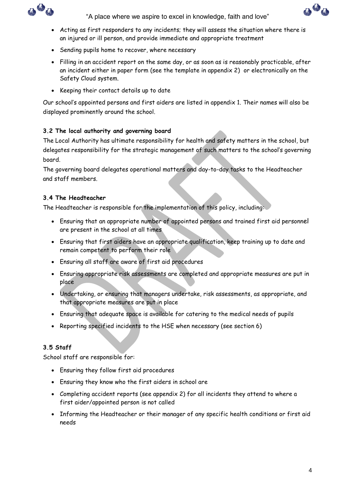



- Acting as first responders to any incidents; they will assess the situation where there is an injured or ill person, and provide immediate and appropriate treatment
- Sending pupils home to recover, where necessary
- Filling in an accident report on the same day, or as soon as is reasonably practicable, after an incident either in paper form (see the template in appendix 2) or electronically on the Safety Cloud system.
- Keeping their contact details up to date

Our school's appointed persons and first aiders are listed in appendix 1. Their names will also be displayed prominently around the school.

#### **3.2 The local authority and governing board**

The Local Authority has ultimate responsibility for health and safety matters in the school, but delegates responsibility for the strategic management of such matters to the school's governing board.

The governing board delegates operational matters and day-to-day tasks to the Headteacher and staff members.

#### **3.4 The Headteacher**

The Headteacher is responsible for the implementation of this policy, including:

- Ensuring that an appropriate number of appointed persons and trained first aid personnel are present in the school at all times
- Ensuring that first aiders have an appropriate qualification, keep training up to date and remain competent to perform their role
- Ensuring all staff are aware of first aid procedures
- Ensuring appropriate risk assessments are completed and appropriate measures are put in place
- Undertaking, or ensuring that managers undertake, risk assessments, as appropriate, and that appropriate measures are put in place
- Ensuring that adequate space is available for catering to the medical needs of pupils
- Reporting specified incidents to the HSE when necessary (see section 6)

#### **3.5 Staff**

School staff are responsible for:

- Ensuring they follow first aid procedures
- Ensuring they know who the first aiders in school are
- Completing accident reports (see appendix 2) for all incidents they attend to where a first aider/appointed person is not called
- Informing the Headteacher or their manager of any specific health conditions or first aid needs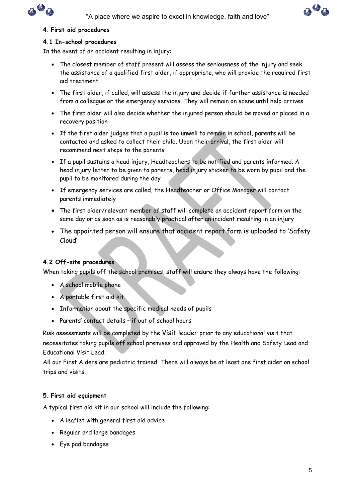

#### **4. First aid procedures**

**AND AND** 

#### **4.1 In-school procedures**

In the event of an accident resulting in injury:

- The closest member of staff present will assess the seriousness of the injury and seek the assistance of a qualified first aider, if appropriate, who will provide the required first aid treatment
- The first aider, if called, will assess the injury and decide if further assistance is needed from a colleague or the emergency services. They will remain on scene until help arrives
- The first aider will also decide whether the injured person should be moved or placed in a recovery position
- If the first aider judges that a pupil is too unwell to remain in school, parents will be contacted and asked to collect their child. Upon their arrival, the first aider will recommend next steps to the parents
- If a pupil sustains a head injury, Headteachers to be notified and parents informed. A head injury letter to be given to parents, head injury sticker to be worn by pupil and the pupil to be monitored during the day
- If emergency services are called, the Headteacher or Office Manager will contact parents immediately
- The first aider/relevant member of staff will complete an accident report form on the same day or as soon as is reasonably practical after an incident resulting in an injury
- The appointed person will ensure that accident report form is uploaded to 'Safety Cloud'

#### **4.2 Off-site procedures**

When taking pupils off the school premises, staff will ensure they always have the following:

- A school mobile phone
- A portable first aid kit
- Information about the specific medical needs of pupils
- Parents' contact details if out of school hours

Risk assessments will be completed by the Visit leader prior to any educational visit that necessitates taking pupils off school premises and approved by the Health and Safety Lead and Educational Visit Lead.

All our First Aiders are pediatric trained. There will always be at least one first aider on school trips and visits.

#### **5. First aid equipment**

A typical first aid kit in our school will include the following:

- A leaflet with general first aid advice
- Regular and large bandages
- Eye pad bandages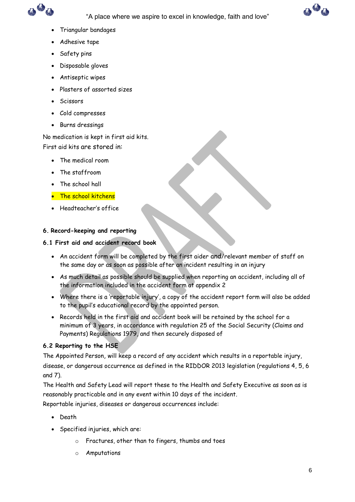



- Triangular bandages
- Adhesive tape
- Safety pins
- Disposable gloves
- Antiseptic wipes
- Plasters of assorted sizes
- Scissors
- Cold compresses
- Burns dressings

No medication is kept in first aid kits. First aid kits are stored in:

- The medical room
- The staffroom
- The school hall
- The school kitchens
- Headteacher's office

#### **6. Record-keeping and reporting**

#### **6.1 First aid and accident record book**

- An accident form will be completed by the first aider and/relevant member of staff on the same day or as soon as possible after an incident resulting in an injury
- As much detail as possible should be supplied when reporting an accident, including all of the information included in the accident form at appendix 2
- Where there is a 'reportable injury', a copy of the accident report form will also be added to the pupil's educational record by the appointed person.
- Records held in the first aid and accident book will be retained by the school for a minimum of 3 years, in accordance with regulation 25 of the Social Security (Claims and Payments) Regulations 1979, and then securely disposed of

#### **6.2 Reporting to the HSE**

The Appointed Person, will keep a record of any accident which results in a reportable injury, disease, or dangerous occurrence as defined in the RIDDOR 2013 legislation (regulations 4, 5, 6 and 7).

The Health and Safety Lead will report these to the Health and Safety Executive as soon as is reasonably practicable and in any event within 10 days of the incident. Reportable injuries, diseases or dangerous occurrences include:

- Death
- Specified injuries, which are:
	- o Fractures, other than to fingers, thumbs and toes
	- o Amputations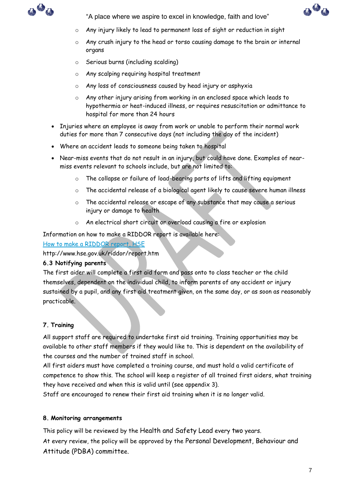



- o Any injury likely to lead to permanent loss of sight or reduction in sight
- $\circ$  Any crush injury to the head or torso causing damage to the brain or internal organs
- o Serious burns (including scalding)
- o Any scalping requiring hospital treatment
- o Any loss of consciousness caused by head injury or asphyxia
- o Any other injury arising from working in an enclosed space which leads to hypothermia or heat-induced illness, or requires resuscitation or admittance to hospital for more than 24 hours
- Injuries where an employee is away from work or unable to perform their normal work duties for more than 7 consecutive days (not including the day of the incident)
- Where an accident leads to someone being taken to hospital
- Near-miss events that do not result in an injury, but could have done. Examples of nearmiss events relevant to schools include, but are not limited to:
	- The collapse or failure of load-bearing parts of lifts and lifting equipment
	- o The accidental release of a biological agent likely to cause severe human illness
	- o The accidental release or escape of any substance that may cause a serious injury or damage to health
	- An electrical short circuit or overload causing a fire or explosion

Information on how to make a RIDDOR report is available here:

#### [How to make a RIDDOR report, HSE](http://www.hse.gov.uk/riddor/report.htm)

http://www.hse.gov.uk/riddor/report.htm

#### **6.3 Notifying parents**

The first aider will complete a first aid form and pass onto to class teacher or the child themselves, dependent on the individual child, to inform parents of any accident or injury sustained by a pupil, and any first aid treatment given, on the same day, or as soon as reasonably practicable.

#### **7. Training**

All support staff are required to undertake first aid training. Training opportunities may be available to other staff members if they would like to. This is dependent on the availability of the courses and the number of trained staff in school.

All first aiders must have completed a training course, and must hold a valid certificate of competence to show this. The school will keep a register of all trained first aiders, what training they have received and when this is valid until (see appendix 3).

Staff are encouraged to renew their first aid training when it is no longer valid.

#### **8. Monitoring arrangements**

This policy will be reviewed by the Health and Safety Lead every two years. At every review, the policy will be approved by the Personal Development, Behaviour and Attitude (PDBA) committee.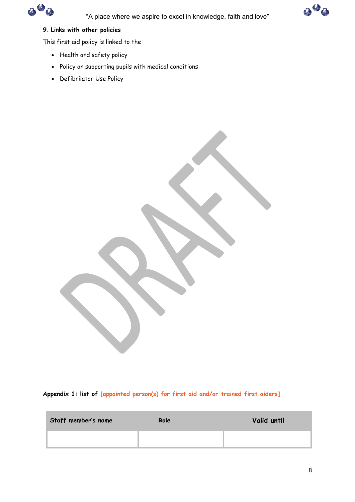



#### **9. Links with other policies**

孤孤孤

This first aid policy is linked to the

- Health and safety policy
- Policy on supporting pupils with medical conditions
- Defibrilator Use Policy

#### **Appendix 1: list of [appointed person(s) for first aid and/or trained first aiders]**

| Staff member's name | Role | Valid until |
|---------------------|------|-------------|
|                     |      |             |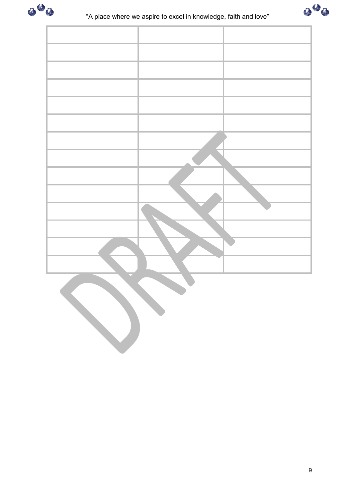

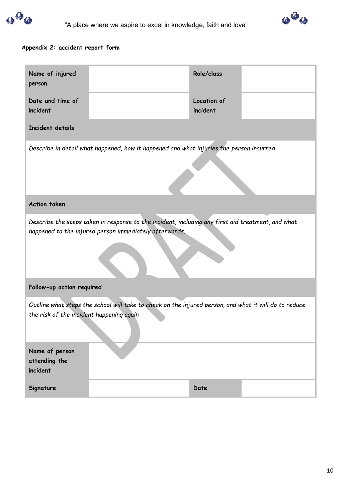



#### **Appendix 2: accident report form**

| Name of injured<br>person                                                                                                                                   |                                                                                         | Role/class                     |  |
|-------------------------------------------------------------------------------------------------------------------------------------------------------------|-----------------------------------------------------------------------------------------|--------------------------------|--|
| Date and time of<br>incident                                                                                                                                |                                                                                         | <b>Location of</b><br>incident |  |
| <b>Incident details</b>                                                                                                                                     |                                                                                         |                                |  |
|                                                                                                                                                             | Describe in detail what happened, how it happened and what injuries the person incurred |                                |  |
|                                                                                                                                                             |                                                                                         |                                |  |
| <b>Action taken</b>                                                                                                                                         |                                                                                         |                                |  |
| Describe the steps taken in response to the incident, including any first aid treatment, and what<br>happened to the injured person immediately afterwards. |                                                                                         |                                |  |
| Follow-up action required                                                                                                                                   |                                                                                         |                                |  |
| Outline what steps the school will take to check on the injured person, and what it will do to reduce<br>the risk of the incident happening again           |                                                                                         |                                |  |
| Name of person<br>attending the<br>incident                                                                                                                 |                                                                                         |                                |  |
| Signature                                                                                                                                                   |                                                                                         | Date                           |  |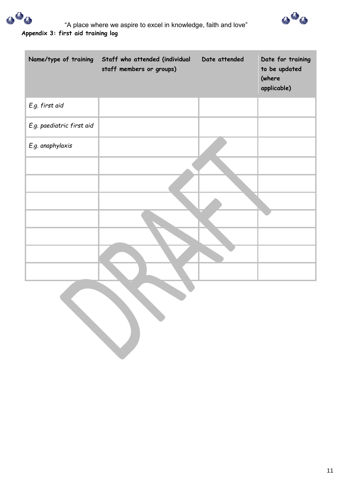





|                           | Name/type of training Staff who attended (individual<br>staff members or groups) | Date attended | Date for training<br>to be updated<br>(where<br>applicable) |
|---------------------------|----------------------------------------------------------------------------------|---------------|-------------------------------------------------------------|
| E.g. first aid            |                                                                                  |               |                                                             |
| E.g. paediatric first aid |                                                                                  |               |                                                             |
| E.g. anaphylaxis          |                                                                                  |               |                                                             |
|                           |                                                                                  |               |                                                             |
|                           |                                                                                  |               |                                                             |
|                           |                                                                                  |               |                                                             |
|                           |                                                                                  |               |                                                             |
|                           |                                                                                  |               |                                                             |
|                           |                                                                                  |               |                                                             |
|                           |                                                                                  |               |                                                             |